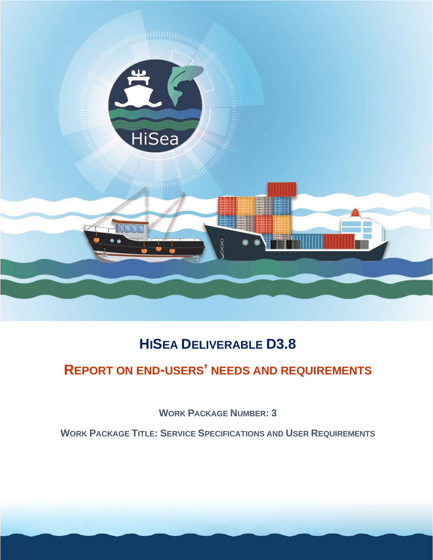

# **HISEA DELIVERABLE D3.8**

# **REPORT ON END-USERS' NEEDS AND REQUIREMENTS**

**WORK PACKAGE NUMBER: 3**

**WORK PACKAGE TITLE: SERVICE SPECIFICATIONS AND USER REQUIREMENTS**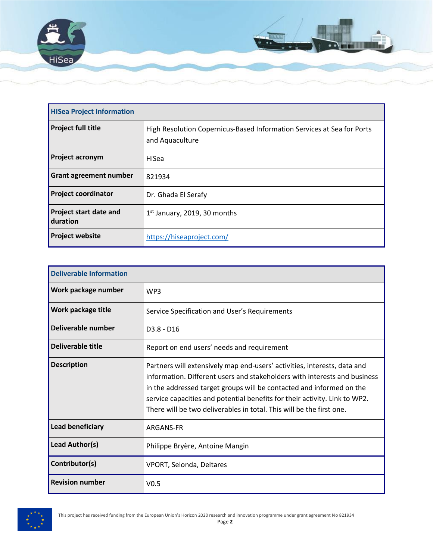

| <b>HISea Project Information</b>          |                                                                                           |
|-------------------------------------------|-------------------------------------------------------------------------------------------|
| <b>Project full title</b>                 | High Resolution Copernicus-Based Information Services at Sea for Ports<br>and Aquaculture |
| <b>Project acronym</b>                    | HiSea                                                                                     |
| <b>Grant agreement number</b>             | 821934                                                                                    |
| <b>Project coordinator</b>                | Dr. Ghada El Serafy                                                                       |
| <b>Project start date and</b><br>duration | $1st$ January, 2019, 30 months                                                            |
| <b>Project website</b>                    | https://hiseaproject.com/                                                                 |

| <b>Deliverable Information</b> |                                                                                                                                                                                                                                                                                                                                                                                     |  |
|--------------------------------|-------------------------------------------------------------------------------------------------------------------------------------------------------------------------------------------------------------------------------------------------------------------------------------------------------------------------------------------------------------------------------------|--|
| Work package number            | WP3                                                                                                                                                                                                                                                                                                                                                                                 |  |
| Work package title             | Service Specification and User's Requirements                                                                                                                                                                                                                                                                                                                                       |  |
| Deliverable number             | $D3.8 - D16$                                                                                                                                                                                                                                                                                                                                                                        |  |
| Deliverable title              | Report on end users' needs and requirement                                                                                                                                                                                                                                                                                                                                          |  |
| <b>Description</b>             | Partners will extensively map end-users' activities, interests, data and<br>information. Different users and stakeholders with interests and business<br>in the addressed target groups will be contacted and informed on the<br>service capacities and potential benefits for their activity. Link to WP2.<br>There will be two deliverables in total. This will be the first one. |  |
| <b>Lead beneficiary</b>        | ARGANS-FR                                                                                                                                                                                                                                                                                                                                                                           |  |
| Lead Author(s)                 | Philippe Bryère, Antoine Mangin                                                                                                                                                                                                                                                                                                                                                     |  |
| Contributor(s)                 | <b>VPORT, Selonda, Deltares</b>                                                                                                                                                                                                                                                                                                                                                     |  |
| <b>Revision number</b>         | V <sub>0.5</sub>                                                                                                                                                                                                                                                                                                                                                                    |  |

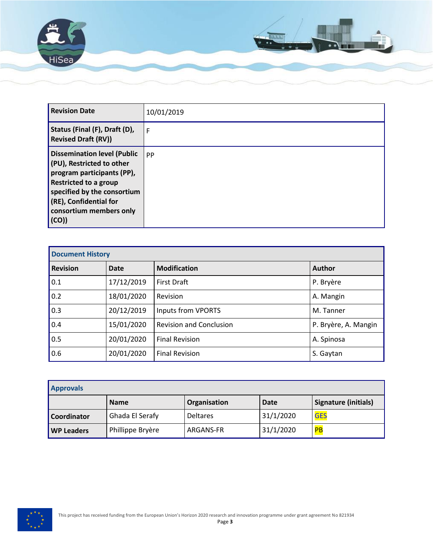

| <b>Revision Date</b>                                                                                                                                                                                                           | 10/01/2019 |
|--------------------------------------------------------------------------------------------------------------------------------------------------------------------------------------------------------------------------------|------------|
| Status (Final (F), Draft (D),<br><b>Revised Draft (RV))</b>                                                                                                                                                                    | F          |
| <b>Dissemination level (Public</b><br>(PU), Restricted to other<br>program participants (PP),<br>Restricted to a group<br>specified by the consortium<br>$\sqrt{(RE)}$ , Confidential for<br>consortium members only<br>  (CO) | PP         |

| <b>Document History</b> |             |                                |                      |
|-------------------------|-------------|--------------------------------|----------------------|
| <b>Revision</b>         | <b>Date</b> | <b>Modification</b>            | <b>Author</b>        |
| 0.1                     | 17/12/2019  | <b>First Draft</b>             | P. Bryère            |
| 0.2                     | 18/01/2020  | Revision                       | A. Mangin            |
| 0.3                     | 20/12/2019  | Inputs from VPORTS             | M. Tanner            |
| 0.4                     | 15/01/2020  | <b>Revision and Conclusion</b> | P. Bryère, A. Mangin |
| 0.5                     | 20/01/2020  | <b>Final Revision</b>          | A. Spinosa           |
| 0.6                     | 20/01/2020  | <b>Final Revision</b>          | S. Gaytan            |

| <b>Approvals</b>  |                  |                 |             |                      |
|-------------------|------------------|-----------------|-------------|----------------------|
|                   | <b>Name</b>      | Organisation    | <b>Date</b> | Signature (initials) |
| Coordinator       | Ghada El Serafy  | <b>Deltares</b> | 31/1/2020   | <b>GES</b>           |
| <b>WP Leaders</b> | Phillippe Bryère | ARGANS-FR       | 31/1/2020   | PB                   |

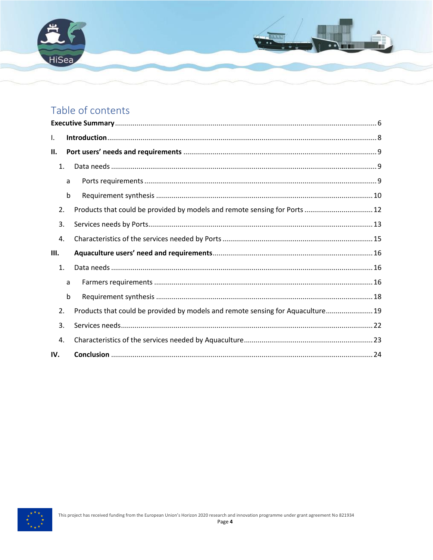

## Table of contents

| ı.  |             |                                                                                 |
|-----|-------------|---------------------------------------------------------------------------------|
| П.  |             |                                                                                 |
|     | 1.          |                                                                                 |
|     | a           |                                                                                 |
|     | b           |                                                                                 |
|     | 2.          | Products that could be provided by models and remote sensing for Ports 12       |
| 3.  |             |                                                                                 |
| 4.  |             |                                                                                 |
| Ш.  |             |                                                                                 |
|     | 1.          |                                                                                 |
|     | a           |                                                                                 |
|     | $\mathsf b$ |                                                                                 |
| 2.  |             | Products that could be provided by models and remote sensing for Aquaculture 19 |
| 3.  |             |                                                                                 |
| 4.  |             |                                                                                 |
| IV. |             |                                                                                 |

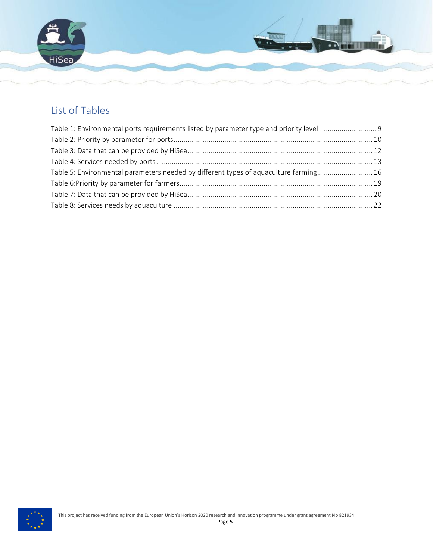

### List of Tables

| Table 5: Environmental parameters needed by different types of aquaculture farming16 |  |
|--------------------------------------------------------------------------------------|--|
|                                                                                      |  |
|                                                                                      |  |
|                                                                                      |  |

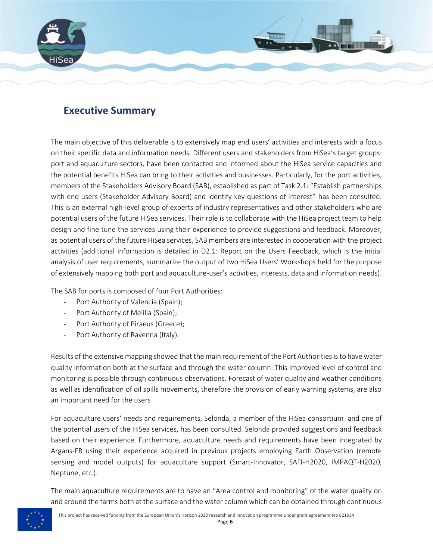

### <span id="page-5-0"></span>**Executive Summary**

The main objective of this deliverable is to extensively map end users' activities and interests with a focus on their specific data and information needs. Different users and stakeholders from HiSea's target groups: port and aquaculture sectors, have been contacted and informed about the HiSea service capacities and the potential benefits HiSea can bring to their activities and businesses. Particularly, for the port activities, members of the Stakeholders Advisory Board (SAB), established as part of Task 2.1: "Establish partnerships with end users (Stakeholder Advisory Board) and identify key questions of interest" has been consulted. This is an external high-level group of experts of industry representatives and other stakeholders who are potential users of the future HiSea services. Their role is to collaborate with the HiSea project team to help design and fine tune the services using their experience to provide suggestions and feedback. Moreover, as potential users of the future HiSea services, SAB members are interested in cooperation with the project activities (additional information is detailed in D2.1: Report on the Users Feedback, which is the initial analysis of user requirements, summarize the output of two HiSea Users' Workshops held for the purpose of extensively mapping both port and aquaculture-user's activities, interests, data and information needs).

The SAB for ports is composed of four Port Authorities:

- Port Authority of Valencia (Spain);
- Port Authority of Melilla (Spain);
- Port Authority of Piraeus (Greece);
- Port Authority of Ravenna (Italy).

Results of the extensive mapping showed that the main requirement of the Port Authorities isto have water quality information both at the surface and through the water column. This improved level of control and monitoring is possible through continuous observations. Forecast of water quality and weather conditions as well as identification of oil spills movements, therefore the provision of early warning systems, are also an important need for the users

For aquaculture users' needs and requirements, Selonda, a member of the HiSea consortium and one of the potential users of the HiSea services, has been consulted. Selonda provided suggestions and feedback based on their experience. Furthermore, aquaculture needs and requirements have been integrated by Argans-FR using their experience acquired in previous projects employing Earth Observation (remote sensing and model outputs) for aquaculture support (Smart-Innovator, SAFI-H2020, IMPAQT-H2020, Neptune, etc.).

The main aquaculture requirements are to have an "Area control and monitoring" of the water quality on and around the farms both at the surface and the water column which can be obtained through continuous

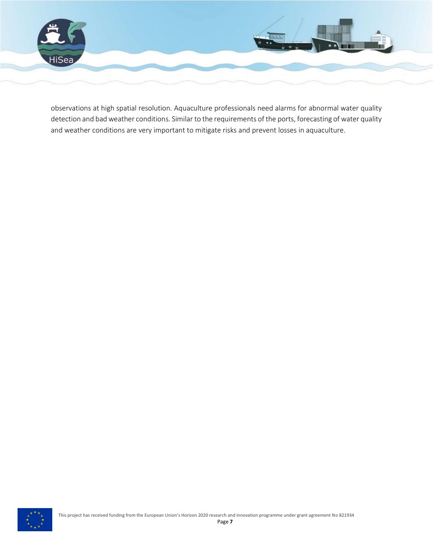

observations at high spatial resolution. Aquaculture professionals need alarms for abnormal water quality detection and bad weather conditions. Similar to the requirements of the ports, forecasting of water quality and weather conditions are very important to mitigate risks and prevent losses in aquaculture.

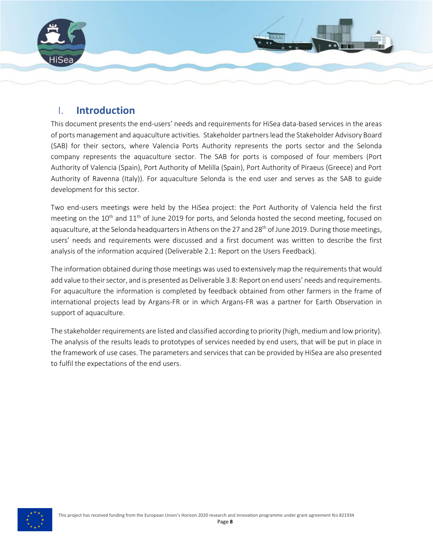

### <span id="page-7-0"></span>I. **Introduction**

This document presents the end-users' needs and requirements for HiSea data-based services in the areas of ports management and aquaculture activities. Stakeholder partners lead the Stakeholder Advisory Board (SAB) for their sectors, where Valencia Ports Authority represents the ports sector and the Selonda company represents the aquaculture sector. The SAB for ports is composed of four members (Port Authority of Valencia (Spain), Port Authority of Melilla (Spain), Port Authority of Piraeus (Greece) and Port Authority of Ravenna (Italy)). For aquaculture Selonda is the end user and serves as the SAB to guide development for this sector.

Two end-users meetings were held by the HiSea project: the Port Authority of Valencia held the first meeting on the 10<sup>th</sup> and 11<sup>th</sup> of June 2019 for ports, and Selonda hosted the second meeting, focused on aquaculture, at the Selonda headquarters in Athens on the 27 and 28<sup>th</sup> of June 2019. During those meetings, users' needs and requirements were discussed and a first document was written to describe the first analysis of the information acquired (Deliverable 2.1: Report on the Users Feedback).

The information obtained during those meetings was used to extensively map the requirements that would add value to their sector, and is presented as Deliverable 3.8: Report on end users' needs and requirements. For aquaculture the information is completed by feedback obtained from other farmers in the frame of international projects lead by Argans-FR or in which Argans-FR was a partner for Earth Observation in support of aquaculture.

The stakeholder requirements are listed and classified according to priority (high, medium and low priority). The analysis of the results leads to prototypes of services needed by end users, that will be put in place in the framework of use cases. The parameters and services that can be provided by HiSea are also presented to fulfil the expectations of the end users.

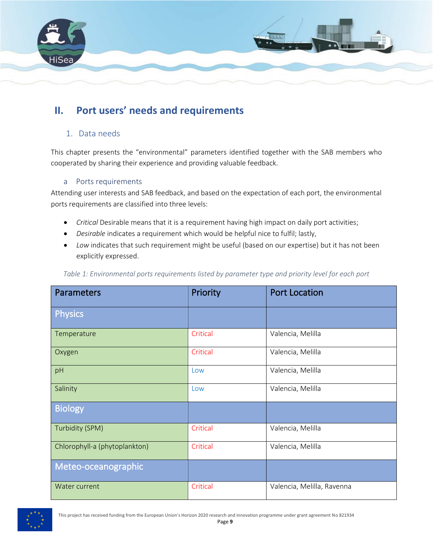

### <span id="page-8-1"></span><span id="page-8-0"></span>**II. Port users' needs and requirements**

#### 1. Data needs

This chapter presents the "environmental" parameters identified together with the SAB members who cooperated by sharing their experience and providing valuable feedback.

#### a Ports requirements

<span id="page-8-2"></span>Attending user interests and SAB feedback, and based on the expectation of each port, the environmental ports requirements are classified into three levels:

- *Critical* Desirable means that it is a requirement having high impact on daily port activities;
- *Desirable* indicates a requirement which would be helpful nice to fulfil; lastly,
- *Low* indicates that such requirement might be useful (based on our expertise) but it has not been explicitly expressed.

| <b>Parameters</b>             | Priority | <b>Port Location</b>       |
|-------------------------------|----------|----------------------------|
| Physics                       |          |                            |
| Temperature                   | Critical | Valencia, Melilla          |
| Oxygen                        | Critical | Valencia, Melilla          |
| pH                            | Low      | Valencia, Melilla          |
| Salinity                      | Low      | Valencia, Melilla          |
| <b>Biology</b>                |          |                            |
| Turbidity (SPM)               | Critical | Valencia, Melilla          |
| Chlorophyll-a (phytoplankton) | Critical | Valencia, Melilla          |
| Meteo-oceanographic           |          |                            |
| Water current                 | Critical | Valencia, Melilla, Ravenna |

<span id="page-8-3"></span>*Table 1: Environmental ports requirements listed by parameter type and priority level for each port*

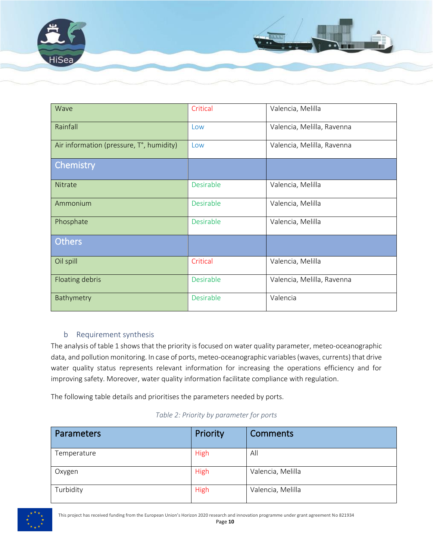

| Wave                                     | Critical  | Valencia, Melilla          |
|------------------------------------------|-----------|----------------------------|
| Rainfall                                 | Low       | Valencia, Melilla, Ravenna |
| Air information (pressure, T°, humidity) | Low       | Valencia, Melilla, Ravenna |
| Chemistry                                |           |                            |
| Nitrate                                  | Desirable | Valencia, Melilla          |
| Ammonium                                 | Desirable | Valencia, Melilla          |
| Phosphate                                | Desirable | Valencia, Melilla          |
| <b>Others</b>                            |           |                            |
| Oil spill                                | Critical  | Valencia, Melilla          |
| Floating debris                          | Desirable | Valencia, Melilla, Ravenna |
| Bathymetry                               | Desirable | Valencia                   |

#### b Requirement synthesis

<span id="page-9-0"></span>The analysis of table 1 shows that the priority is focused on water quality parameter, meteo-oceanographic data, and pollution monitoring. In case of ports, meteo-oceanographic variables (waves, currents) that drive water quality status represents relevant information for increasing the operations efficiency and for improving safety. Moreover, water quality information facilitate compliance with regulation.

The following table details and prioritises the parameters needed by ports.

|  |  |  | Table 2: Priority by parameter for ports |
|--|--|--|------------------------------------------|
|--|--|--|------------------------------------------|

<span id="page-9-1"></span>

| <b>Parameters</b> | Priority    | <b>Comments</b>   |
|-------------------|-------------|-------------------|
| Temperature       | High        | All               |
| Oxygen            | <b>High</b> | Valencia, Melilla |
| Turbidity         | <b>High</b> | Valencia, Melilla |

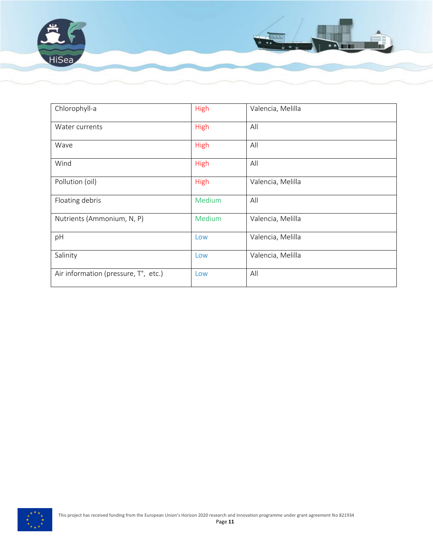

| Chlorophyll-a                        | High   | Valencia, Melilla |
|--------------------------------------|--------|-------------------|
| Water currents                       | High   | All               |
| Wave                                 | High   | All               |
| Wind                                 | High   | All               |
| Pollution (oil)                      | High   | Valencia, Melilla |
| Floating debris                      | Medium | All               |
| Nutrients (Ammonium, N, P)           | Medium | Valencia, Melilla |
| pH                                   | Low    | Valencia, Melilla |
| Salinity                             | Low    | Valencia, Melilla |
| Air information (pressure, T°, etc.) | Low    | All               |

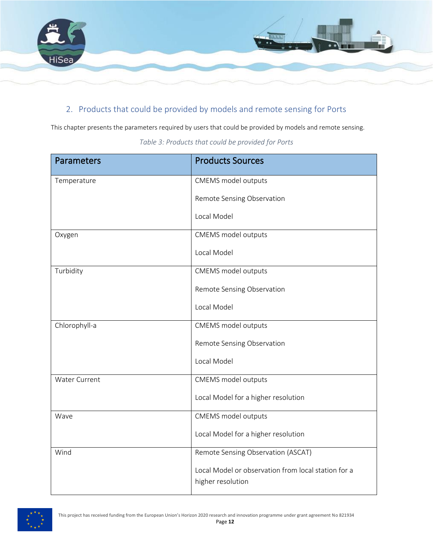

### <span id="page-11-0"></span>2. Products that could be provided by models and remote sensing for Ports

<span id="page-11-1"></span>This chapter presents the parameters required by users that could be provided by models and remote sensing.

| <b>Parameters</b>    | <b>Products Sources</b>                                                  |
|----------------------|--------------------------------------------------------------------------|
| Temperature          | CMEMS model outputs                                                      |
|                      | Remote Sensing Observation                                               |
|                      | Local Model                                                              |
| Oxygen               | CMEMS model outputs                                                      |
|                      | Local Model                                                              |
| Turbidity            | CMEMS model outputs                                                      |
|                      | Remote Sensing Observation                                               |
|                      | Local Model                                                              |
| Chlorophyll-a        | CMEMS model outputs                                                      |
|                      | Remote Sensing Observation                                               |
|                      | Local Model                                                              |
| <b>Water Current</b> | CMEMS model outputs                                                      |
|                      | Local Model for a higher resolution                                      |
| Wave                 | CMEMS model outputs                                                      |
|                      | Local Model for a higher resolution                                      |
| Wind                 | Remote Sensing Observation (ASCAT)                                       |
|                      | Local Model or observation from local station for a<br>higher resolution |

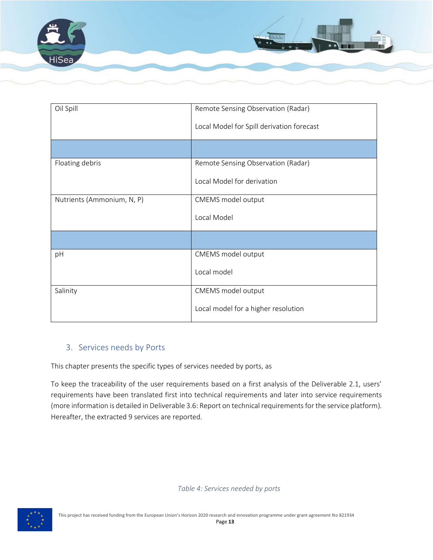

| Oil Spill                  | Remote Sensing Observation (Radar)        |
|----------------------------|-------------------------------------------|
|                            | Local Model for Spill derivation forecast |
|                            |                                           |
| Floating debris            | Remote Sensing Observation (Radar)        |
|                            | Local Model for derivation                |
| Nutrients (Ammonium, N, P) | CMEMS model output                        |
|                            | Local Model                               |
|                            |                                           |
| pH                         | CMEMS model output                        |
|                            | Local model                               |
| Salinity                   | CMEMS model output                        |
|                            | Local model for a higher resolution       |

### <span id="page-12-0"></span>3. Services needs by Ports

This chapter presents the specific types of services needed by ports, as

To keep the traceability of the user requirements based on a first analysis of the Deliverable 2.1, users' requirements have been translated first into technical requirements and later into service requirements (more information is detailed in Deliverable 3.6: Report on technical requirements for the service platform). Hereafter, the extracted 9 services are reported.

*Table 4: Services needed by ports*

<span id="page-12-1"></span>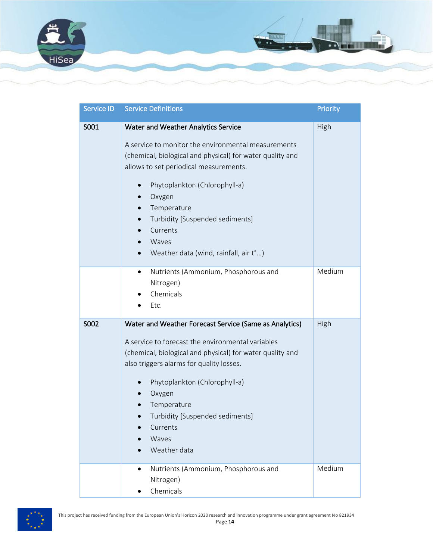

| Service ID | <b>Service Definitions</b>                                                                                                                                                                                                                                                                                                                                                | <b>Priority</b> |
|------------|---------------------------------------------------------------------------------------------------------------------------------------------------------------------------------------------------------------------------------------------------------------------------------------------------------------------------------------------------------------------------|-----------------|
| S001       | Water and Weather Analytics Service<br>A service to monitor the environmental measurements<br>(chemical, biological and physical) for water quality and<br>allows to set periodical measurements.<br>Phytoplankton (Chlorophyll-a)<br>$\bullet$<br>Oxygen<br>Temperature<br>Turbidity [Suspended sediments]<br>Currents<br>Waves<br>Weather data (wind, rainfall, air t°) | High            |
|            | Nutrients (Ammonium, Phosphorous and<br>٠<br>Nitrogen)<br>Chemicals<br>Etc.                                                                                                                                                                                                                                                                                               | Medium          |
| S002       | Water and Weather Forecast Service (Same as Analytics)<br>A service to forecast the environmental variables<br>(chemical, biological and physical) for water quality and<br>also triggers alarms for quality losses.<br>Phytoplankton (Chlorophyll-a)<br>Oxygen<br>Temperature<br>Turbidity [Suspended sediments]<br>Currents<br>Waves<br>Weather data                    | High            |
|            | Nutrients (Ammonium, Phosphorous and<br>$\bullet$<br>Nitrogen)<br>Chemicals                                                                                                                                                                                                                                                                                               | Medium          |

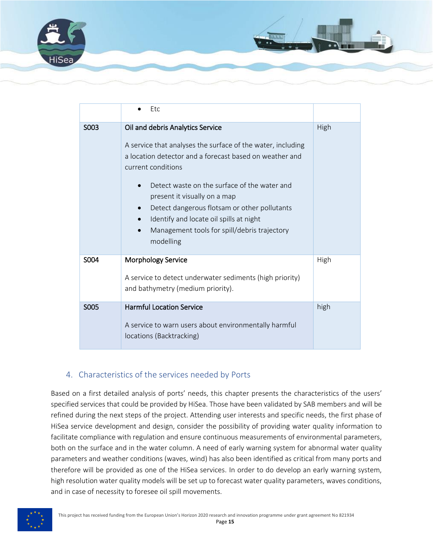

|      | Etc                                                                                                                                                                                                                                                                                                                                                                                                                                   |      |
|------|---------------------------------------------------------------------------------------------------------------------------------------------------------------------------------------------------------------------------------------------------------------------------------------------------------------------------------------------------------------------------------------------------------------------------------------|------|
| S003 | Oil and debris Analytics Service<br>A service that analyses the surface of the water, including<br>a location detector and a forecast based on weather and<br>current conditions<br>Detect waste on the surface of the water and<br>present it visually on a map<br>Detect dangerous flotsam or other pollutants<br>Identify and locate oil spills at night<br>Management tools for spill/debris trajectory<br>$\bullet$<br>modelling | High |
| S004 | Morphology Service<br>A service to detect underwater sediments (high priority)<br>and bathymetry (medium priority).                                                                                                                                                                                                                                                                                                                   | High |
| S005 | <b>Harmful Location Service</b><br>A service to warn users about environmentally harmful<br>locations (Backtracking)                                                                                                                                                                                                                                                                                                                  | high |

### <span id="page-14-0"></span>4. Characteristics of the services needed by Ports

Based on a first detailed analysis of ports' needs, this chapter presents the characteristics of the users' specified services that could be provided by HiSea. Those have been validated by SAB members and will be refined during the next steps of the project. Attending user interests and specific needs, the first phase of HiSea service development and design, consider the possibility of providing water quality information to facilitate compliance with regulation and ensure continuous measurements of environmental parameters, both on the surface and in the water column. A need of early warning system for abnormal water quality parameters and weather conditions (waves, wind) has also been identified as critical from many ports and therefore will be provided as one of the HiSea services. In order to do develop an early warning system, high resolution water quality models will be set up to forecast water quality parameters, waves conditions, and in case of necessity to foresee oil spill movements.

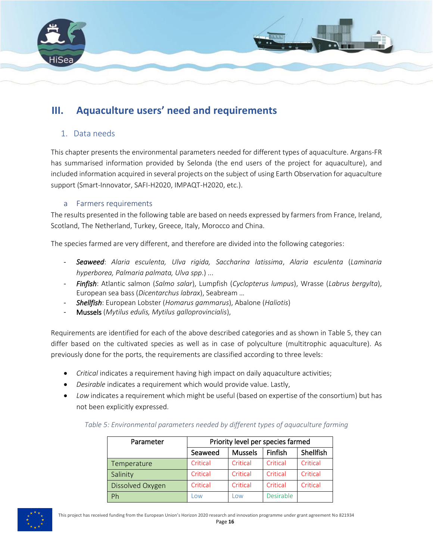

### <span id="page-15-1"></span><span id="page-15-0"></span>**III. Aquaculture users' need and requirements**

### 1. Data needs

This chapter presents the environmental parameters needed for different types of aquaculture. Argans-FR has summarised information provided by Selonda (the end users of the project for aquaculture), and included information acquired in several projects on the subject of using Earth Observation for aquaculture support (Smart-Innovator, SAFI-H2020, IMPAQT-H2020, etc.).

#### a Farmers requirements

<span id="page-15-2"></span>The results presented in the following table are based on needs expressed by farmers from France, Ireland, Scotland, The Netherland, Turkey, Greece, Italy, Morocco and China.

The species farmed are very different, and therefore are divided into the following categories:

- *Seaweed*: *Alaria esculenta, Ulva rigida, Saccharina latissima*, *Alaria esculenta* (*Laminaria hyperborea, Palmaria palmata, Ulva spp*.) ...
- *Finfish*: Atlantic salmon (*Salmo salar*), Lumpfish (*Cyclopterus lumpus*), Wrasse (*Labrus bergylta*), European sea bass (*Dicentarchus labrax*), Seabream …
- *Shellfish*: European Lobster (*Homarus gammarus*), Abalone (*Haliotis*)
- Mussels (*Mytilus edulis, Mytilus galloprovincialis*),

Requirements are identified for each of the above described categories and as shown in Table 5, they can differ based on the cultivated species as well as in case of polyculture (multitrophic aquaculture). As previously done for the ports, the requirements are classified according to three levels:

- *Critical* indicates a requirement having high impact on daily aquaculture activities;
- *Desirable* indicates a requirement which would provide value. Lastly,
- <span id="page-15-3"></span>• *Low* indicates a requirement which might be useful (based on expertise of the consortium) but has not been explicitly expressed.

| Densen skap | Data attace berradorea e a caractera de anos e al                                  |
|-------------|------------------------------------------------------------------------------------|
|             | Table 5: Environmental parameters needed by different types of aquaculture farming |

| Parameter        | Priority level per species farmed |                |           |           |
|------------------|-----------------------------------|----------------|-----------|-----------|
|                  | Seaweed                           | <b>Mussels</b> | Finfish   | Shellfish |
| Temperature      | Critical                          | Critical       | Critical  | Critical  |
| Salinity         | Critical                          | Critical       | Critical  | Critical  |
| Dissolved Oxygen | Critical                          | Critical       | Critical  | Critical  |
| Ph               | Low                               | Low            | Desirable |           |

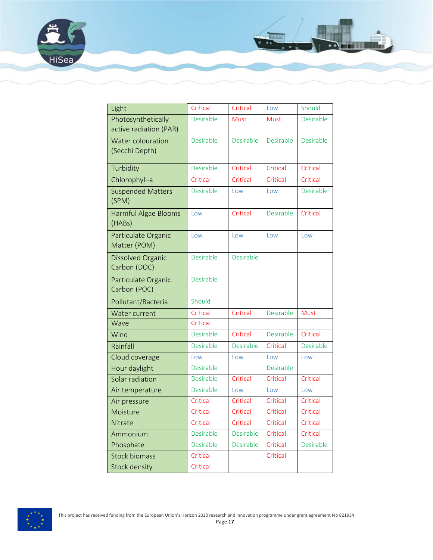



HiSea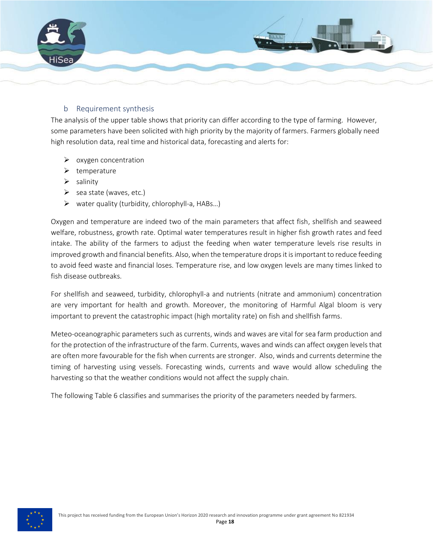

#### b Requirement synthesis

<span id="page-17-0"></span>The analysis of the upper table shows that priority can differ according to the type of farming. However, some parameters have been solicited with high priority by the majority of farmers. Farmers globally need high resolution data, real time and historical data, forecasting and alerts for:

- ➢ oxygen concentration
- ➢ temperature
- ➢ salinity
- $\triangleright$  sea state (waves, etc.)
- $\triangleright$  water quality (turbidity, chlorophyll-a, HABs...)

Oxygen and temperature are indeed two of the main parameters that affect fish, shellfish and seaweed welfare, robustness, growth rate. Optimal water temperatures result in higher fish growth rates and feed intake. The ability of the farmers to adjust the feeding when water temperature levels rise results in improved growth and financial benefits. Also, when the temperature drops it is important to reduce feeding to avoid feed waste and financial loses. Temperature rise, and low oxygen levels are many times linked to fish disease outbreaks.

For shellfish and seaweed, turbidity, chlorophyll-a and nutrients (nitrate and ammonium) concentration are very important for health and growth. Moreover, the monitoring of Harmful Algal bloom is very important to prevent the catastrophic impact (high mortality rate) on fish and shellfish farms.

Meteo-oceanographic parameters such as currents, winds and waves are vital for sea farm production and for the protection of the infrastructure of the farm. Currents, waves and winds can affect oxygen levels that are often more favourable for the fish when currents are stronger. Also, winds and currents determine the timing of harvesting using vessels. Forecasting winds, currents and wave would allow scheduling the harvesting so that the weather conditions would not affect the supply chain.

The following Table 6 classifies and summarises the priority of the parameters needed by farmers.

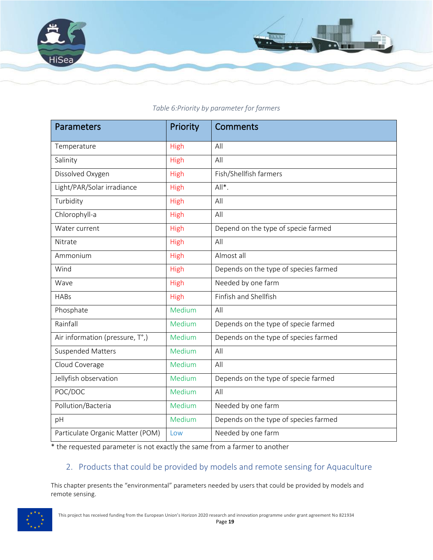

## <span id="page-18-1"></span>Parameters **Parameters** Priority Comments Temperature | High | All Salinity and All High All Dissolved Oxygen **High** Fish/Shellfish farmers Light/PAR/Solar irradiance | High | All\*. Turbidity and the High All Chlorophyll-a **High** All Water current **High High Depend on the type of specie farmed** Nitrate | High | All Ammonium | High | Almost all Wind Wind **High** Depends on the type of species farmed Wave **High** Needed by one farm HABs **High** Finfish and Shellfish Phosphate Medium All Rainfall Medium Depends on the type of specie farmed Air information (pressure,  $T^{\circ}$ ,)  $\blacksquare$  Medium  $\blacksquare$  Depends on the type of species farmed Suspended Matters Medium All

#### *Table 6:Priority by parameter for farmers*

\* the requested parameter is not exactly the same from a farmer to another

Pollution/Bacteria Medium Needed by one farm

Particulate Organic Matter (POM) Low Needed by one farm

Cloud Coverage Medium All

POC/DOC Nedium All

#### <span id="page-18-0"></span>2. Products that could be provided by models and remote sensing for Aquaculture

This chapter presents the "environmental" parameters needed by users that could be provided by models and remote sensing.

Jellyfish observation Medium Depends on the type of specie farmed

pH Medium Depends on the type of species farmed

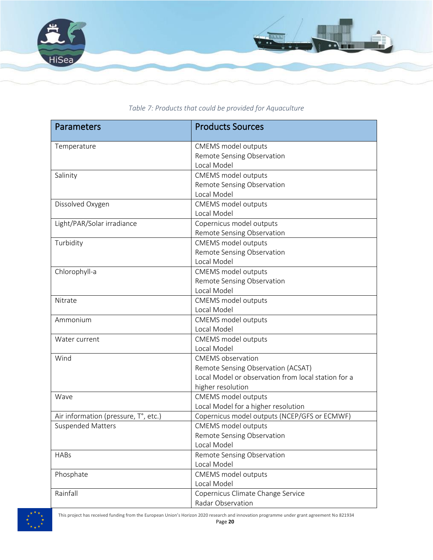

<span id="page-19-0"></span>

| <b>Parameters</b>                    | <b>Products Sources</b>                             |
|--------------------------------------|-----------------------------------------------------|
| Temperature                          | CMEMS model outputs                                 |
|                                      | Remote Sensing Observation                          |
|                                      | Local Model                                         |
| Salinity                             | CMEMS model outputs                                 |
|                                      | Remote Sensing Observation                          |
|                                      | Local Model                                         |
| Dissolved Oxygen                     | CMEMS model outputs                                 |
|                                      | Local Model                                         |
| Light/PAR/Solar irradiance           | Copernicus model outputs                            |
|                                      | Remote Sensing Observation                          |
| Turbidity                            | <b>CMEMS</b> model outputs                          |
|                                      | Remote Sensing Observation                          |
|                                      | Local Model                                         |
| Chlorophyll-a                        | CMEMS model outputs                                 |
|                                      | Remote Sensing Observation                          |
|                                      | Local Model                                         |
| Nitrate                              | CMEMS model outputs                                 |
|                                      | Local Model                                         |
| Ammonium                             | CMEMS model outputs                                 |
|                                      | Local Model                                         |
| Water current                        | CMEMS model outputs                                 |
|                                      | Local Model                                         |
| Wind                                 | <b>CMEMS</b> observation                            |
|                                      | Remote Sensing Observation (ACSAT)                  |
|                                      | Local Model or observation from local station for a |
|                                      | higher resolution                                   |
| Wave                                 | <b>CMEMS</b> model outputs                          |
|                                      | Local Model for a higher resolution                 |
| Air information (pressure, T°, etc.) | Copernicus model outputs (NCEP/GFS or ECMWF)        |
| <b>Suspended Matters</b>             | CMEMS model outputs                                 |
|                                      | Remote Sensing Observation                          |
|                                      | Local Model                                         |
| <b>HABs</b>                          | Remote Sensing Observation                          |
|                                      | Local Model                                         |
| Phosphate                            | CMEMS model outputs                                 |
|                                      | Local Model                                         |
| Rainfall                             | Copernicus Climate Change Service                   |
|                                      | Radar Observation                                   |

*Table 7: Products that could be provided for Aquaculture*



This project has received funding from the European Union's Horizon 2020 research and innovation programme under grant agreement No 821934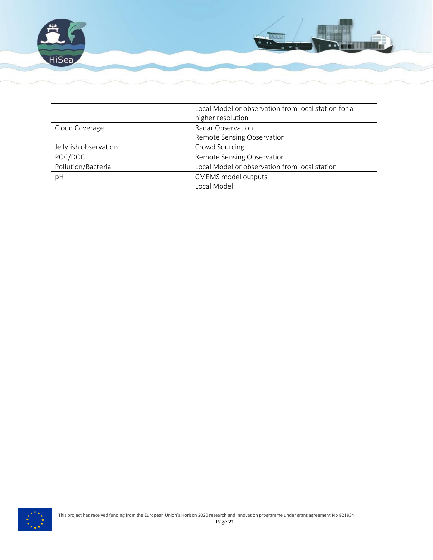

|                       | Local Model or observation from local station for a |  |
|-----------------------|-----------------------------------------------------|--|
|                       | higher resolution                                   |  |
| Cloud Coverage        | Radar Observation                                   |  |
|                       | Remote Sensing Observation                          |  |
| Jellyfish observation | Crowd Sourcing                                      |  |
| POC/DOC               | Remote Sensing Observation                          |  |
| Pollution/Bacteria    | Local Model or observation from local station       |  |
| pH                    | CMEMS model outputs                                 |  |
|                       | Local Model                                         |  |

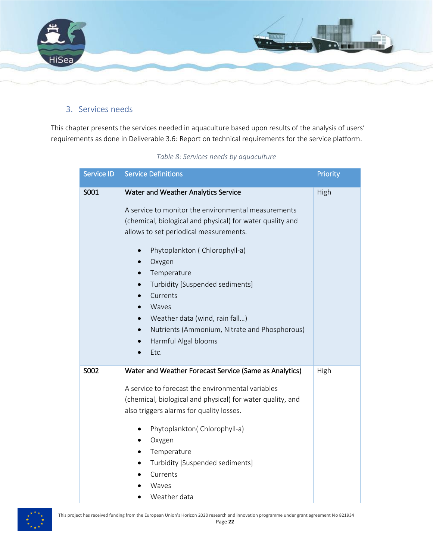

### <span id="page-21-0"></span>3. Services needs

<span id="page-21-1"></span>This chapter presents the services needed in aquaculture based upon results of the analysis of users' requirements as done in Deliverable 3.6: Report on technical requirements for the service platform.

| Service ID | <b>Service Definitions</b>                                                                                                                                                                                                                                                                                                                                                                                                                                                    | Priority |
|------------|-------------------------------------------------------------------------------------------------------------------------------------------------------------------------------------------------------------------------------------------------------------------------------------------------------------------------------------------------------------------------------------------------------------------------------------------------------------------------------|----------|
| S001       | Water and Weather Analytics Service<br>A service to monitor the environmental measurements<br>(chemical, biological and physical) for water quality and<br>allows to set periodical measurements.<br>Phytoplankton (Chlorophyll-a)<br>$\bullet$<br>Oxygen<br>$\bullet$<br>Temperature<br>Turbidity [Suspended sediments]<br>Currents<br>Waves<br>Weather data (wind, rain fall)<br>Nutrients (Ammonium, Nitrate and Phosphorous)<br>$\bullet$<br>Harmful Algal blooms<br>Etc. | High     |
| S002       | Water and Weather Forecast Service (Same as Analytics)<br>A service to forecast the environmental variables<br>(chemical, biological and physical) for water quality, and<br>also triggers alarms for quality losses.<br>Phytoplankton(Chlorophyll-a)<br>$\bullet$<br>Oxygen<br>Temperature<br>Turbidity [Suspended sediments]<br>Currents<br>Waves<br>Weather data                                                                                                           | High     |

#### *Table 8: Services needs by aquaculture*

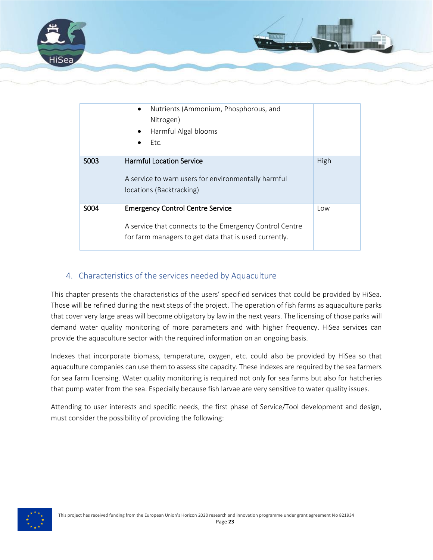

|                   | Nutrients (Ammonium, Phosphorous, and<br>$\bullet$<br>Nitrogen)<br>Harmful Algal blooms<br>Etc.                                                             |      |
|-------------------|-------------------------------------------------------------------------------------------------------------------------------------------------------------|------|
| S003              | <b>Harmful Location Service</b><br>A service to warn users for environmentally harmful<br>locations (Backtracking)                                          | High |
| S <sub>0</sub> 04 | <b>Emergency Control Centre Service</b><br>A service that connects to the Emergency Control Centre<br>for farm managers to get data that is used currently. | Low  |

### <span id="page-22-0"></span>4. Characteristics of the services needed by Aquaculture

This chapter presents the characteristics of the users' specified services that could be provided by HiSea. Those will be refined during the next steps of the project. The operation of fish farms as aquaculture parks that cover very large areas will become obligatory by law in the next years. The licensing of those parks will demand water quality monitoring of more parameters and with higher frequency. HiSea services can provide the aquaculture sector with the required information on an ongoing basis.

Indexes that incorporate biomass, temperature, oxygen, etc. could also be provided by HiSea so that aquaculture companies can use them to assess site capacity. These indexes are required by the sea farmers for sea farm licensing. Water quality monitoring is required not only for sea farms but also for hatcheries that pump water from the sea. Especially because fish larvae are very sensitive to water quality issues.

Attending to user interests and specific needs, the first phase of Service/Tool development and design, must consider the possibility of providing the following: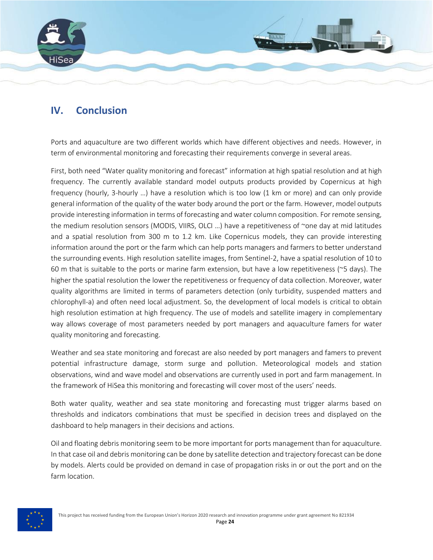

### <span id="page-23-0"></span>**IV. Conclusion**

Ports and aquaculture are two different worlds which have different objectives and needs. However, in term of environmental monitoring and forecasting their requirements converge in several areas.

First, both need "Water quality monitoring and forecast" information at high spatial resolution and at high frequency. The currently available standard model outputs products provided by Copernicus at high frequency (hourly, 3-hourly …) have a resolution which is too low (1 km or more) and can only provide general information of the quality of the water body around the port or the farm. However, model outputs provide interesting information in terms of forecasting and water column composition. For remote sensing, the medium resolution sensors (MODIS, VIIRS, OLCI ...) have a repetitiveness of ~one day at mid latitudes and a spatial resolution from 300 m to 1.2 km. Like Copernicus models, they can provide interesting information around the port or the farm which can help ports managers and farmers to better understand the surrounding events. High resolution satellite images, from Sentinel-2, have a spatial resolution of 10 to 60 m that is suitable to the ports or marine farm extension, but have a low repetitiveness (~5 days). The higher the spatial resolution the lower the repetitiveness or frequency of data collection. Moreover, water quality algorithms are limited in terms of parameters detection (only turbidity, suspended matters and chlorophyll-a) and often need local adjustment. So, the development of local models is critical to obtain high resolution estimation at high frequency. The use of models and satellite imagery in complementary way allows coverage of most parameters needed by port managers and aquaculture famers for water quality monitoring and forecasting.

Weather and sea state monitoring and forecast are also needed by port managers and famers to prevent potential infrastructure damage, storm surge and pollution. Meteorological models and station observations, wind and wave model and observations are currently used in port and farm management. In the framework of HiSea this monitoring and forecasting will cover most of the users' needs.

Both water quality, weather and sea state monitoring and forecasting must trigger alarms based on thresholds and indicators combinations that must be specified in decision trees and displayed on the dashboard to help managers in their decisions and actions.

Oil and floating debris monitoring seem to be more important for ports management than for aquaculture. In that case oil and debris monitoring can be done by satellite detection and trajectory forecast can be done by models. Alerts could be provided on demand in case of propagation risks in or out the port and on the farm location.